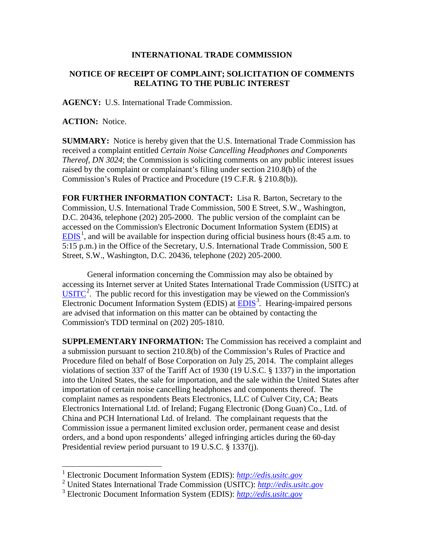## **INTERNATIONAL TRADE COMMISSION**

## **NOTICE OF RECEIPT OF COMPLAINT; SOLICITATION OF COMMENTS RELATING TO THE PUBLIC INTEREST**

**AGENCY:** U.S. International Trade Commission.

**ACTION:** Notice.

**SUMMARY:** Notice is hereby given that the U.S. International Trade Commission has received a complaint entitled *Certain Noise Cancelling Headphones and Components Thereof, DN 3024*; the Commission is soliciting comments on any public interest issues raised by the complaint or complainant's filing under section 210.8(b) of the Commission's Rules of Practice and Procedure (19 C.F.R. § 210.8(b)).

**FOR FURTHER INFORMATION CONTACT:** Lisa R. Barton, Secretary to the Commission, U.S. International Trade Commission, 500 E Street, S.W., Washington, D.C. 20436, telephone (202) 205-2000. The public version of the complaint can be accessed on the Commission's Electronic Document Information System (EDIS) at  $EDIS<sup>1</sup>$  $EDIS<sup>1</sup>$  $EDIS<sup>1</sup>$  $EDIS<sup>1</sup>$ , and will be available for inspection during official business hours (8:45 a.m. to 5:15 p.m.) in the Office of the Secretary, U.S. International Trade Commission, 500 E Street, S.W., Washington, D.C. 20436, telephone (202) 205-2000.

General information concerning the Commission may also be obtained by accessing its Internet server at United States International Trade Commission (USITC) at  $\overline{USTTC}^2$  $\overline{USTTC}^2$ . The public record for this investigation may be viewed on the Commission's Electronic Document Information System (EDIS) at **EDIS**<sup>[3](#page-0-2)</sup>. Hearing-impaired persons are advised that information on this matter can be obtained by contacting the Commission's TDD terminal on (202) 205-1810.

**SUPPLEMENTARY INFORMATION:** The Commission has received a complaint and a submission pursuant to section 210.8(b) of the Commission's Rules of Practice and Procedure filed on behalf of Bose Corporation on July 25, 2014. The complaint alleges violations of section 337 of the Tariff Act of 1930 (19 U.S.C. § 1337) in the importation into the United States, the sale for importation, and the sale within the United States after importation of certain noise cancelling headphones and components thereof. The complaint names as respondents Beats Electronics, LLC of Culver City, CA; Beats Electronics International Ltd. of Ireland; Fugang Electronic (Dong Guan) Co., Ltd. of China and PCH International Ltd. of Ireland. The complainant requests that the Commission issue a permanent limited exclusion order, permanent cease and desist orders, and a bond upon respondents' alleged infringing articles during the 60-day Presidential review period pursuant to 19 U.S.C. § 1337(j).

<span id="page-0-0"></span> <sup>1</sup> Electronic Document Information System (EDIS): *[http://edis.usitc.gov](http://edis.usitc.gov/)*

<span id="page-0-1"></span><sup>2</sup> United States International Trade Commission (USITC): *[http://edis.usitc.gov](http://edis.usitc.gov/)*

<span id="page-0-2"></span><sup>3</sup> Electronic Document Information System (EDIS): *[http://edis.usitc.gov](http://edis.usitc.gov/)*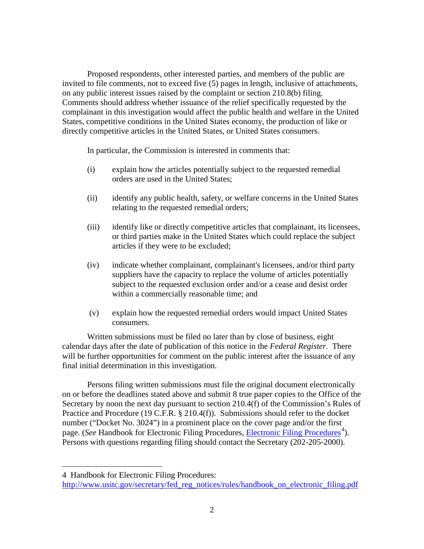Proposed respondents, other interested parties, and members of the public are invited to file comments, not to exceed five (5) pages in length, inclusive of attachments, on any public interest issues raised by the complaint or section 210.8(b) filing. Comments should address whether issuance of the relief specifically requested by the complainant in this investigation would affect the public health and welfare in the United States, competitive conditions in the United States economy, the production of like or directly competitive articles in the United States, or United States consumers.

In particular, the Commission is interested in comments that:

- (i) explain how the articles potentially subject to the requested remedial orders are used in the United States;
- (ii) identify any public health, safety, or welfare concerns in the United States relating to the requested remedial orders;
- (iii) identify like or directly competitive articles that complainant, its licensees, or third parties make in the United States which could replace the subject articles if they were to be excluded;
- (iv) indicate whether complainant, complainant's licensees, and/or third party suppliers have the capacity to replace the volume of articles potentially subject to the requested exclusion order and/or a cease and desist order within a commercially reasonable time; and
- (v) explain how the requested remedial orders would impact United States consumers.

Written submissions must be filed no later than by close of business, eight calendar days after the date of publication of this notice in the *Federal Register*. There will be further opportunities for comment on the public interest after the issuance of any final initial determination in this investigation.

Persons filing written submissions must file the original document electronically on or before the deadlines stated above and submit 8 true paper copies to the Office of the Secretary by noon the next day pursuant to section 210.4(f) of the Commission's Rules of Practice and Procedure (19 C.F.R. § 210.4(f)). Submissions should refer to the docket number ("Docket No. 3024") in a prominent place on the cover page and/or the first page. (*See* Handbook for [Electronic Filing Procedures](http://www.usitc.gov/secretary/fed_reg_notices/rules/handbook_on_electronic_filing.pdf), *Electronic Filing Procedures*<sup>[4](#page-1-0)</sup>). Persons with questions regarding filing should contact the Secretary (202-205-2000).

 $\overline{a}$ 

<span id="page-1-0"></span><sup>4</sup> Handbook for Electronic Filing Procedures:

[http://www.usitc.gov/secretary/fed\\_reg\\_notices/rules/handbook\\_on\\_electronic\\_filing.pdf](http://www.usitc.gov/secretary/fed_reg_notices/rules/handbook_on_electronic_filing.pdf)